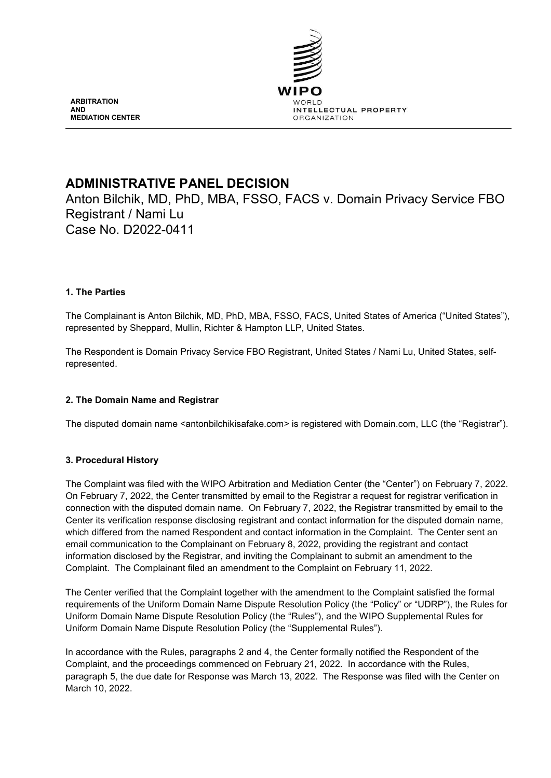

**ARBITRATION AND MEDIATION CENTER**

# **ADMINISTRATIVE PANEL DECISION**

Anton Bilchik, MD, PhD, MBA, FSSO, FACS v. Domain Privacy Service FBO Registrant / Nami Lu Case No. D2022-0411

# **1. The Parties**

The Complainant is Anton Bilchik, MD, PhD, MBA, FSSO, FACS, United States of America ("United States"), represented by Sheppard, Mullin, Richter & Hampton LLP, United States.

The Respondent is Domain Privacy Service FBO Registrant, United States / Nami Lu, United States, selfrepresented.

# **2. The Domain Name and Registrar**

The disputed domain name <antonbilchikisafake.com> is registered with Domain.com, LLC (the "Registrar").

# **3. Procedural History**

The Complaint was filed with the WIPO Arbitration and Mediation Center (the "Center") on February 7, 2022. On February 7, 2022, the Center transmitted by email to the Registrar a request for registrar verification in connection with the disputed domain name. On February 7, 2022, the Registrar transmitted by email to the Center its verification response disclosing registrant and contact information for the disputed domain name, which differed from the named Respondent and contact information in the Complaint. The Center sent an email communication to the Complainant on February 8, 2022, providing the registrant and contact information disclosed by the Registrar, and inviting the Complainant to submit an amendment to the Complaint. The Complainant filed an amendment to the Complaint on February 11, 2022.

The Center verified that the Complaint together with the amendment to the Complaint satisfied the formal requirements of the Uniform Domain Name Dispute Resolution Policy (the "Policy" or "UDRP"), the Rules for Uniform Domain Name Dispute Resolution Policy (the "Rules"), and the WIPO Supplemental Rules for Uniform Domain Name Dispute Resolution Policy (the "Supplemental Rules").

In accordance with the Rules, paragraphs 2 and 4, the Center formally notified the Respondent of the Complaint, and the proceedings commenced on February 21, 2022. In accordance with the Rules, paragraph 5, the due date for Response was March 13, 2022. The Response was filed with the Center on March 10, 2022.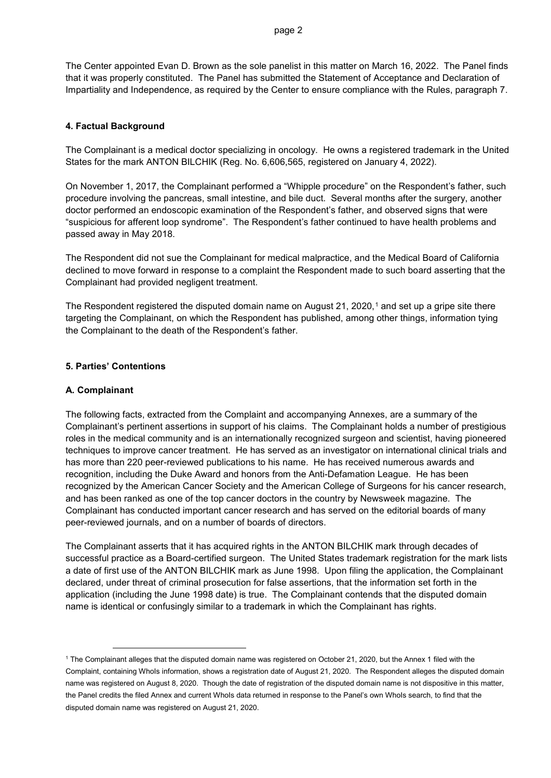The Center appointed Evan D. Brown as the sole panelist in this matter on March 16, 2022. The Panel finds that it was properly constituted. The Panel has submitted the Statement of Acceptance and Declaration of Impartiality and Independence, as required by the Center to ensure compliance with the Rules, paragraph 7.

#### **4. Factual Background**

The Complainant is a medical doctor specializing in oncology. He owns a registered trademark in the United States for the mark ANTON BILCHIK (Reg. No. 6,606,565, registered on January 4, 2022).

On November 1, 2017, the Complainant performed a "Whipple procedure" on the Respondent's father, such procedure involving the pancreas, small intestine, and bile duct. Several months after the surgery, another doctor performed an endoscopic examination of the Respondent's father, and observed signs that were "suspicious for afferent loop syndrome". The Respondent's father continued to have health problems and passed away in May 2018.

The Respondent did not sue the Complainant for medical malpractice, and the Medical Board of California declined to move forward in response to a complaint the Respondent made to such board asserting that the Complainant had provided negligent treatment.

The Respondent registered the disputed domain name on August 2[1](#page-1-0), 2020,<sup>1</sup> and set up a gripe site there targeting the Complainant, on which the Respondent has published, among other things, information tying the Complainant to the death of the Respondent's father.

## **5. Parties' Contentions**

#### **A. Complainant**

The following facts, extracted from the Complaint and accompanying Annexes, are a summary of the Complainant's pertinent assertions in support of his claims. The Complainant holds a number of prestigious roles in the medical community and is an internationally recognized surgeon and scientist, having pioneered techniques to improve cancer treatment. He has served as an investigator on international clinical trials and has more than 220 peer-reviewed publications to his name. He has received numerous awards and recognition, including the Duke Award and honors from the Anti-Defamation League. He has been recognized by the American Cancer Society and the American College of Surgeons for his cancer research, and has been ranked as one of the top cancer doctors in the country by Newsweek magazine. The Complainant has conducted important cancer research and has served on the editorial boards of many peer-reviewed journals, and on a number of boards of directors.

The Complainant asserts that it has acquired rights in the ANTON BILCHIK mark through decades of successful practice as a Board-certified surgeon. The United States trademark registration for the mark lists a date of first use of the ANTON BILCHIK mark as June 1998. Upon filing the application, the Complainant declared, under threat of criminal prosecution for false assertions, that the information set forth in the application (including the June 1998 date) is true. The Complainant contends that the disputed domain name is identical or confusingly similar to a trademark in which the Complainant has rights.

<span id="page-1-0"></span> <sup>1</sup> The Complainant alleges that the disputed domain name was registered on October 21, 2020, but the Annex 1 filed with the Complaint, containing WhoIs information, shows a registration date of August 21, 2020. The Respondent alleges the disputed domain name was registered on August 8, 2020. Though the date of registration of the disputed domain name is not dispositive in this matter, the Panel credits the filed Annex and current WhoIs data returned in response to the Panel's own WhoIs search, to find that the disputed domain name was registered on August 21, 2020.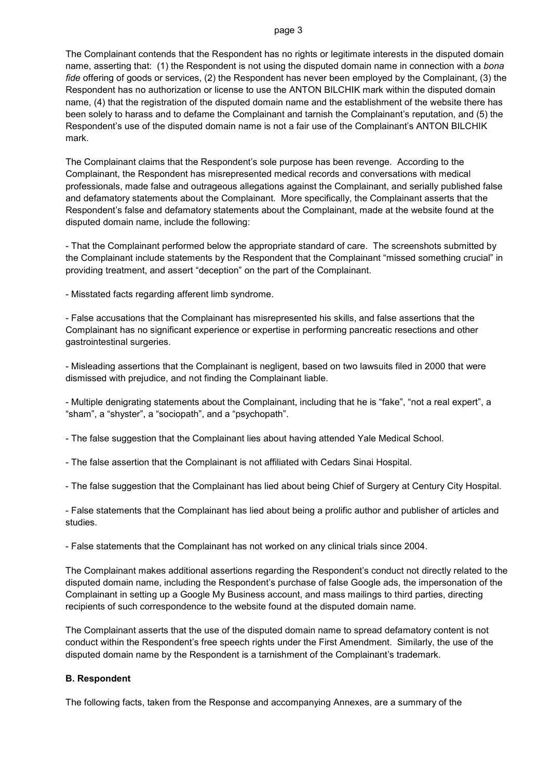#### page 3

The Complainant contends that the Respondent has no rights or legitimate interests in the disputed domain name, asserting that: (1) the Respondent is not using the disputed domain name in connection with a *bona fide* offering of goods or services, (2) the Respondent has never been employed by the Complainant, (3) the Respondent has no authorization or license to use the ANTON BILCHIK mark within the disputed domain name, (4) that the registration of the disputed domain name and the establishment of the website there has been solely to harass and to defame the Complainant and tarnish the Complainant's reputation, and (5) the Respondent's use of the disputed domain name is not a fair use of the Complainant's ANTON BILCHIK mark.

The Complainant claims that the Respondent's sole purpose has been revenge. According to the Complainant, the Respondent has misrepresented medical records and conversations with medical professionals, made false and outrageous allegations against the Complainant, and serially published false and defamatory statements about the Complainant. More specifically, the Complainant asserts that the Respondent's false and defamatory statements about the Complainant, made at the website found at the disputed domain name, include the following:

- That the Complainant performed below the appropriate standard of care. The screenshots submitted by the Complainant include statements by the Respondent that the Complainant "missed something crucial" in providing treatment, and assert "deception" on the part of the Complainant.

- Misstated facts regarding afferent limb syndrome.

- False accusations that the Complainant has misrepresented his skills, and false assertions that the Complainant has no significant experience or expertise in performing pancreatic resections and other gastrointestinal surgeries.

- Misleading assertions that the Complainant is negligent, based on two lawsuits filed in 2000 that were dismissed with prejudice, and not finding the Complainant liable.

- Multiple denigrating statements about the Complainant, including that he is "fake", "not a real expert", a "sham", a "shyster", a "sociopath", and a "psychopath".

- The false suggestion that the Complainant lies about having attended Yale Medical School.

- The false assertion that the Complainant is not affiliated with Cedars Sinai Hospital.
- The false suggestion that the Complainant has lied about being Chief of Surgery at Century City Hospital.

- False statements that the Complainant has lied about being a prolific author and publisher of articles and studies.

- False statements that the Complainant has not worked on any clinical trials since 2004.

The Complainant makes additional assertions regarding the Respondent's conduct not directly related to the disputed domain name, including the Respondent's purchase of false Google ads, the impersonation of the Complainant in setting up a Google My Business account, and mass mailings to third parties, directing recipients of such correspondence to the website found at the disputed domain name.

The Complainant asserts that the use of the disputed domain name to spread defamatory content is not conduct within the Respondent's free speech rights under the First Amendment. Similarly, the use of the disputed domain name by the Respondent is a tarnishment of the Complainant's trademark.

#### **B. Respondent**

The following facts, taken from the Response and accompanying Annexes, are a summary of the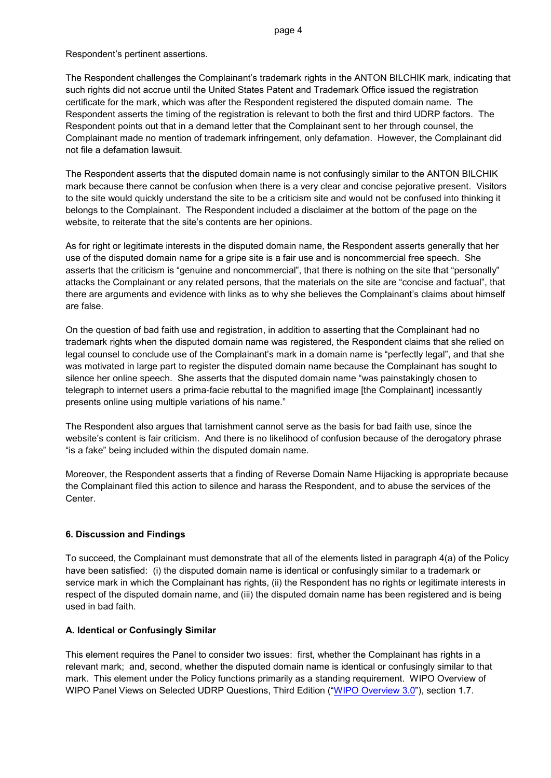Respondent's pertinent assertions.

The Respondent challenges the Complainant's trademark rights in the ANTON BILCHIK mark, indicating that such rights did not accrue until the United States Patent and Trademark Office issued the registration certificate for the mark, which was after the Respondent registered the disputed domain name. The Respondent asserts the timing of the registration is relevant to both the first and third UDRP factors. The Respondent points out that in a demand letter that the Complainant sent to her through counsel, the Complainant made no mention of trademark infringement, only defamation. However, the Complainant did not file a defamation lawsuit.

The Respondent asserts that the disputed domain name is not confusingly similar to the ANTON BILCHIK mark because there cannot be confusion when there is a very clear and concise pejorative present. Visitors to the site would quickly understand the site to be a criticism site and would not be confused into thinking it belongs to the Complainant. The Respondent included a disclaimer at the bottom of the page on the website, to reiterate that the site's contents are her opinions.

As for right or legitimate interests in the disputed domain name, the Respondent asserts generally that her use of the disputed domain name for a gripe site is a fair use and is noncommercial free speech. She asserts that the criticism is "genuine and noncommercial", that there is nothing on the site that "personally" attacks the Complainant or any related persons, that the materials on the site are "concise and factual", that there are arguments and evidence with links as to why she believes the Complainant's claims about himself are false.

On the question of bad faith use and registration, in addition to asserting that the Complainant had no trademark rights when the disputed domain name was registered, the Respondent claims that she relied on legal counsel to conclude use of the Complainant's mark in a domain name is "perfectly legal", and that she was motivated in large part to register the disputed domain name because the Complainant has sought to silence her online speech. She asserts that the disputed domain name "was painstakingly chosen to telegraph to internet users a prima-facie rebuttal to the magnified image [the Complainant] incessantly presents online using multiple variations of his name."

The Respondent also argues that tarnishment cannot serve as the basis for bad faith use, since the website's content is fair criticism. And there is no likelihood of confusion because of the derogatory phrase "is a fake" being included within the disputed domain name.

Moreover, the Respondent asserts that a finding of Reverse Domain Name Hijacking is appropriate because the Complainant filed this action to silence and harass the Respondent, and to abuse the services of the Center.

# **6. Discussion and Findings**

To succeed, the Complainant must demonstrate that all of the elements listed in paragraph 4(a) of the Policy have been satisfied: (i) the disputed domain name is identical or confusingly similar to a trademark or service mark in which the Complainant has rights, (ii) the Respondent has no rights or legitimate interests in respect of the disputed domain name, and (iii) the disputed domain name has been registered and is being used in bad faith.

#### **A. Identical or Confusingly Similar**

This element requires the Panel to consider two issues: first, whether the Complainant has rights in a relevant mark; and, second, whether the disputed domain name is identical or confusingly similar to that mark. This element under the Policy functions primarily as a standing requirement. WIPO Overview of WIPO Panel Views on Selected UDRP Questions, Third Edition (["WIPO Overview 3.0"](https://www.wipo.int/amc/en/domains/search/overview3.0/)), section 1.7.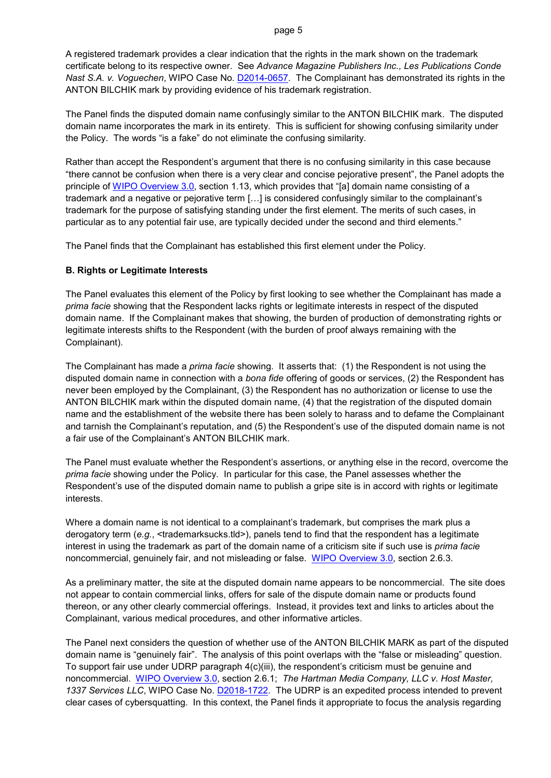#### page 5

A registered trademark provides a clear indication that the rights in the mark shown on the trademark certificate belong to its respective owner. See *Advance Magazine Publishers Inc., Les Publications Conde Nast S.A. v. Voguechen*, WIPO Case No. [D2014-0657.](https://www.wipo.int/amc/en/domains/search/text.jsp?case=D2014-0657) The Complainant has demonstrated its rights in the ANTON BILCHIK mark by providing evidence of his trademark registration.

The Panel finds the disputed domain name confusingly similar to the ANTON BILCHIK mark. The disputed domain name incorporates the mark in its entirety. This is sufficient for showing confusing similarity under the Policy. The words "is a fake" do not eliminate the confusing similarity.

Rather than accept the Respondent's argument that there is no confusing similarity in this case because "there cannot be confusion when there is a very clear and concise pejorative present", the Panel adopts the principle of [WIPO Overview 3.0,](https://www.wipo.int/amc/en/domains/search/overview3.0/) section 1.13, which provides that "[a] domain name consisting of a trademark and a negative or pejorative term […] is considered confusingly similar to the complainant's trademark for the purpose of satisfying standing under the first element. The merits of such cases, in particular as to any potential fair use, are typically decided under the second and third elements."

The Panel finds that the Complainant has established this first element under the Policy.

## **B. Rights or Legitimate Interests**

The Panel evaluates this element of the Policy by first looking to see whether the Complainant has made a *prima facie* showing that the Respondent lacks rights or legitimate interests in respect of the disputed domain name. If the Complainant makes that showing, the burden of production of demonstrating rights or legitimate interests shifts to the Respondent (with the burden of proof always remaining with the Complainant).

The Complainant has made a *prima facie* showing. It asserts that: (1) the Respondent is not using the disputed domain name in connection with a *bona fide* offering of goods or services, (2) the Respondent has never been employed by the Complainant, (3) the Respondent has no authorization or license to use the ANTON BILCHIK mark within the disputed domain name, (4) that the registration of the disputed domain name and the establishment of the website there has been solely to harass and to defame the Complainant and tarnish the Complainant's reputation, and (5) the Respondent's use of the disputed domain name is not a fair use of the Complainant's ANTON BILCHIK mark.

The Panel must evaluate whether the Respondent's assertions, or anything else in the record, overcome the *prima facie* showing under the Policy. In particular for this case, the Panel assesses whether the Respondent's use of the disputed domain name to publish a gripe site is in accord with rights or legitimate interests.

Where a domain name is not identical to a complainant's trademark, but comprises the mark plus a derogatory term (e.g., <trademarksucks.tld>), panels tend to find that the respondent has a legitimate interest in using the trademark as part of the domain name of a criticism site if such use is *prima facie* noncommercial, genuinely fair, and not misleading or false. WIPO [Overview 3.0,](https://www.wipo.int/amc/en/domains/search/overview3.0/) section 2.6.3.

As a preliminary matter, the site at the disputed domain name appears to be noncommercial. The site does not appear to contain commercial links, offers for sale of the dispute domain name or products found thereon, or any other clearly commercial offerings. Instead, it provides text and links to articles about the Complainant, various medical procedures, and other informative articles.

The Panel next considers the question of whether use of the ANTON BILCHIK MARK as part of the disputed domain name is "genuinely fair". The analysis of this point overlaps with the "false or misleading" question. To support fair use under UDRP paragraph 4(c)(iii), the respondent's criticism must be genuine and noncommercial. [WIPO Overview 3.0,](https://www.wipo.int/amc/en/domains/search/overview3.0/) section 2.6.1; *The Hartman Media Company, LLC v. Host Master, 1337 Services LLC*, WIPO Case No. [D2018-1722.](https://www.wipo.int/amc/en/domains/search/text.jsp?case=D2018-1722) The UDRP is an expedited process intended to prevent clear cases of cybersquatting. In this context, the Panel finds it appropriate to focus the analysis regarding